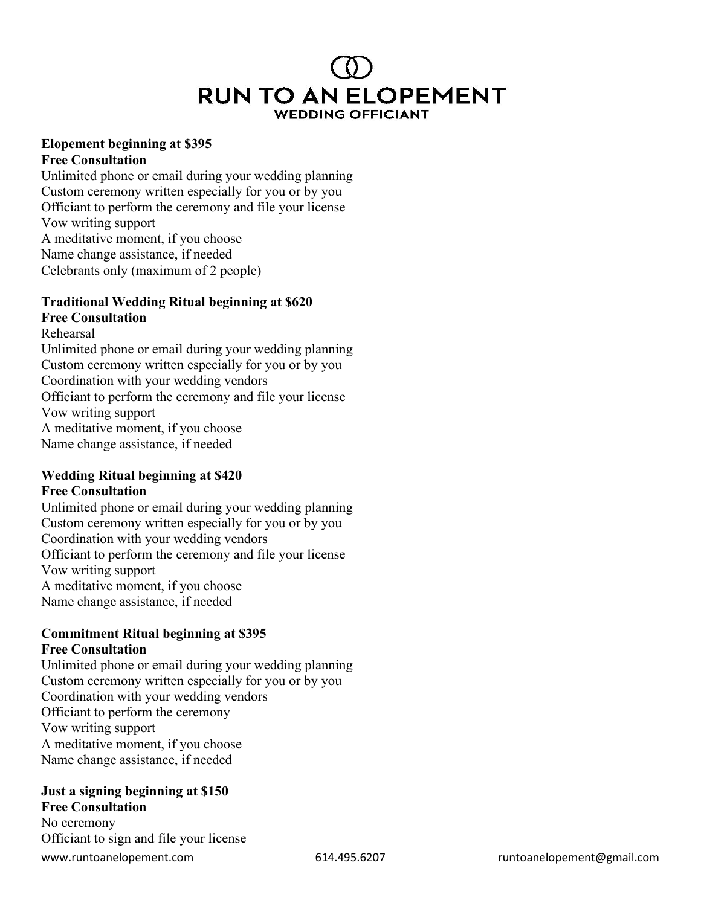# **RUN TO AN ELOPEMENT WEDDING OFFICIANT**

#### **Elopement beginning at \$395 Free Consultation**

Unlimited phone or email during your wedding planning Custom ceremony written especially for you or by you Officiant to perform the ceremony and file your license Vow writing support A meditative moment, if you choose Name change assistance, if needed Celebrants only (maximum of 2 people)

## **Traditional Wedding Ritual beginning at \$620**

## **Free Consultation**

Rehearsal Unlimited phone or email during your wedding planning Custom ceremony written especially for you or by you Coordination with your wedding vendors Officiant to perform the ceremony and file your license Vow writing support A meditative moment, if you choose Name change assistance, if needed

#### **Wedding Ritual beginning at \$420 Free Consultation**

Unlimited phone or email during your wedding planning Custom ceremony written especially for you or by you Coordination with your wedding vendors Officiant to perform the ceremony and file your license Vow writing support A meditative moment, if you choose Name change assistance, if needed

#### **Commitment Ritual beginning at \$395 Free Consultation**

Unlimited phone or email during your wedding planning Custom ceremony written especially for you or by you Coordination with your wedding vendors Officiant to perform the ceremony Vow writing support A meditative moment, if you choose Name change assistance, if needed

## **Just a signing beginning at \$150**

www.runtoanelopement.com 614.495.6207 runtoanelopement@gmail.com **Free Consultation** No ceremony Officiant to sign and file your license